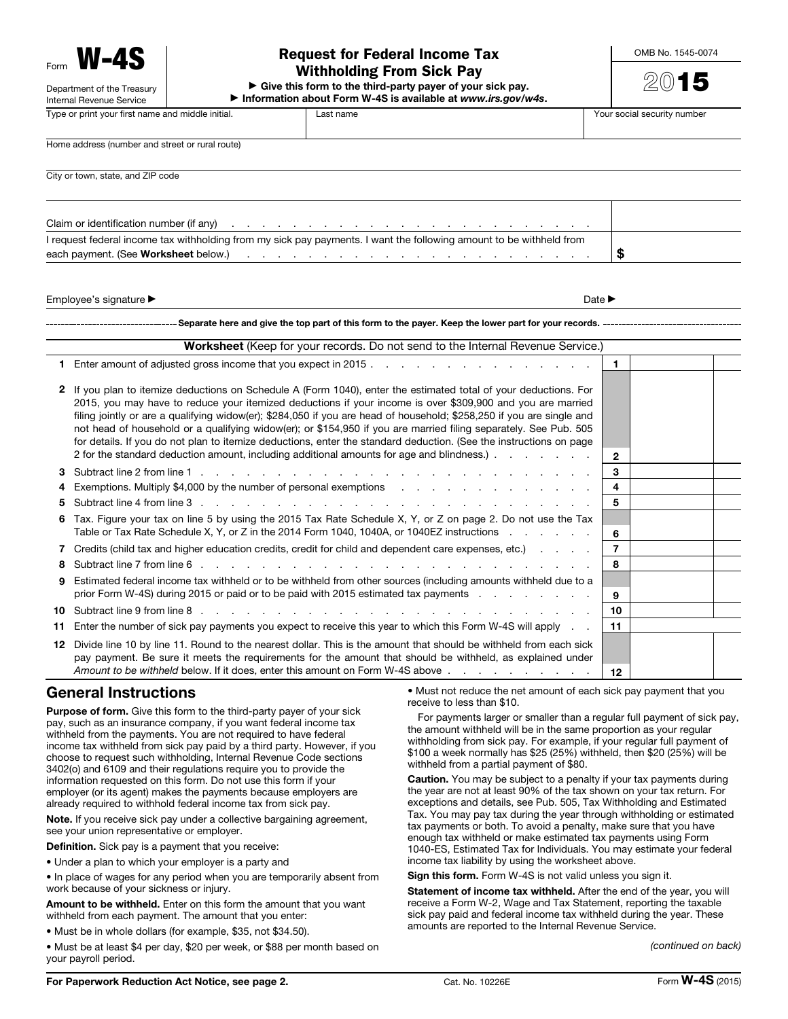Form W-4S Department of the Treasury

Internal Revenue Service

## Request for Federal Income Tax Withholding From Sick Pay

Type or print your first name and middle initial.  $\blacksquare$  Last name  $\blacksquare$  Your social security number

 $\blacktriangleright$  Give this form to the third-party payer of your sick pay. ▶ Information about Form W-4S is available at *www.irs.gov/w4s*. OMB No. 1545-0074

2015

Home address (number and street or rural route)

City or town, state, and ZIP code

| I request federal income tax withholding from my sick pay payments. I want the following amount to be withheld from |  |
|---------------------------------------------------------------------------------------------------------------------|--|
|                                                                                                                     |  |

Employee's signature ▶ Date ▶

#### Separate here and give the top part of this form to the payer. Keep the lower part for your records.

|     | Worksheet (Keep for your records. Do not send to the Internal Revenue Service.)                                                                                                                                                                                                                                                                                                                                                                                                                                                                                                                                                                                                                 |                |  |  |  |  |
|-----|-------------------------------------------------------------------------------------------------------------------------------------------------------------------------------------------------------------------------------------------------------------------------------------------------------------------------------------------------------------------------------------------------------------------------------------------------------------------------------------------------------------------------------------------------------------------------------------------------------------------------------------------------------------------------------------------------|----------------|--|--|--|--|
|     | 1 Enter amount of adjusted gross income that you expect in 2015.                                                                                                                                                                                                                                                                                                                                                                                                                                                                                                                                                                                                                                | $\mathbf{1}$   |  |  |  |  |
|     | 2 If you plan to itemize deductions on Schedule A (Form 1040), enter the estimated total of your deductions. For<br>2015, you may have to reduce your itemized deductions if your income is over \$309,900 and you are married<br>filing jointly or are a qualifying widow(er); \$284,050 if you are head of household; \$258,250 if you are single and<br>not head of household or a qualifying widow(er); or \$154,950 if you are married filing separately. See Pub. 505<br>for details. If you do not plan to itemize deductions, enter the standard deduction. (See the instructions on page<br>2 for the standard deduction amount, including additional amounts for age and blindness.). | $\overline{2}$ |  |  |  |  |
|     |                                                                                                                                                                                                                                                                                                                                                                                                                                                                                                                                                                                                                                                                                                 | 3              |  |  |  |  |
|     | 4 Exemptions. Multiply \$4,000 by the number of personal exemptions enterstand and some contact the set of the set of the set of the set of the set of the set of the set of the set of the set of the set of the set of the se                                                                                                                                                                                                                                                                                                                                                                                                                                                                 | 4              |  |  |  |  |
| 5.  |                                                                                                                                                                                                                                                                                                                                                                                                                                                                                                                                                                                                                                                                                                 | 5              |  |  |  |  |
|     | 6 Tax. Figure your tax on line 5 by using the 2015 Tax Rate Schedule X, Y, or Z on page 2. Do not use the Tax<br>Table or Tax Rate Schedule X, Y, or Z in the 2014 Form 1040, 1040A, or 1040EZ instructions entertainty of the                                                                                                                                                                                                                                                                                                                                                                                                                                                                  | 6              |  |  |  |  |
|     | 7 Credits (child tax and higher education credits, credit for child and dependent care expenses, etc.)                                                                                                                                                                                                                                                                                                                                                                                                                                                                                                                                                                                          | 7              |  |  |  |  |
| 8.  |                                                                                                                                                                                                                                                                                                                                                                                                                                                                                                                                                                                                                                                                                                 | 8              |  |  |  |  |
| 9   | Estimated federal income tax withheld or to be withheld from other sources (including amounts withheld due to a<br>prior Form W-4S) during 2015 or paid or to be paid with 2015 estimated tax payments example of the state of the                                                                                                                                                                                                                                                                                                                                                                                                                                                              | 9              |  |  |  |  |
| 10  |                                                                                                                                                                                                                                                                                                                                                                                                                                                                                                                                                                                                                                                                                                 | 10             |  |  |  |  |
| 11. | Enter the number of sick pay payments you expect to receive this year to which this Form W-4S will apply                                                                                                                                                                                                                                                                                                                                                                                                                                                                                                                                                                                        | 11             |  |  |  |  |
| 12. | Divide line 10 by line 11. Round to the nearest dollar. This is the amount that should be withheld from each sick<br>pay payment. Be sure it meets the requirements for the amount that should be withheld, as explained under<br>Amount to be withheld below. If it does, enter this amount on Form W-4S above                                                                                                                                                                                                                                                                                                                                                                                 | 12             |  |  |  |  |
|     |                                                                                                                                                                                                                                                                                                                                                                                                                                                                                                                                                                                                                                                                                                 |                |  |  |  |  |

### General Instructions

Purpose of form. Give this form to the third-party payer of your sick pay, such as an insurance company, if you want federal income tax withheld from the payments. You are not required to have federal income tax withheld from sick pay paid by a third party. However, if you choose to request such withholding, Internal Revenue Code sections 3402(o) and 6109 and their regulations require you to provide the information requested on this form. Do not use this form if your employer (or its agent) makes the payments because employers are already required to withhold federal income tax from sick pay.

Note. If you receive sick pay under a collective bargaining agreement, see your union representative or employer.

Definition. Sick pay is a payment that you receive:

• Under a plan to which your employer is a party and

• In place of wages for any period when you are temporarily absent from work because of your sickness or injury.

Amount to be withheld. Enter on this form the amount that you want withheld from each payment. The amount that you enter:

• Must be in whole dollars (for example, \$35, not \$34.50).

• Must be at least \$4 per day, \$20 per week, or \$88 per month based on your payroll period.

• Must not reduce the net amount of each sick pay payment that you receive to less than \$10.

For payments larger or smaller than a regular full payment of sick pay, the amount withheld will be in the same proportion as your regular withholding from sick pay. For example, if your regular full payment of \$100 a week normally has \$25 (25%) withheld, then \$20 (25%) will be withheld from a partial payment of \$80.

Caution. You may be subject to a penalty if your tax payments during the year are not at least 90% of the tax shown on your tax return. For exceptions and details, see Pub. 505, Tax Withholding and Estimated Tax. You may pay tax during the year through withholding or estimated tax payments or both. To avoid a penalty, make sure that you have enough tax withheld or make estimated tax payments using Form 1040-ES, Estimated Tax for Individuals. You may estimate your federal income tax liability by using the worksheet above.

Sign this form. Form W-4S is not valid unless you sign it.

Statement of income tax withheld. After the end of the year, you will receive a Form W-2, Wage and Tax Statement, reporting the taxable sick pay paid and federal income tax withheld during the year. These amounts are reported to the Internal Revenue Service.

*(continued on back)*